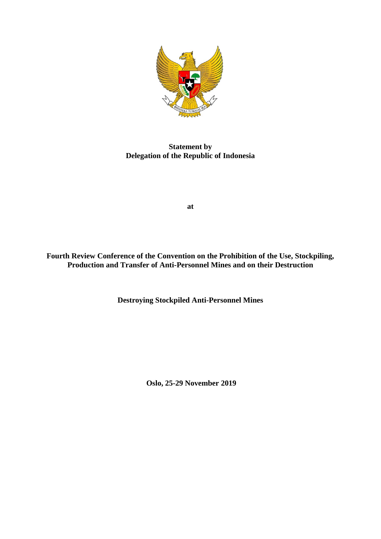

**Statement by Delegation of the Republic of Indonesia**

**at**

**Fourth Review Conference of the Convention on the Prohibition of the Use, Stockpiling, Production and Transfer of Anti-Personnel Mines and on their Destruction**

**Destroying Stockpiled Anti-Personnel Mines**

**Oslo, 25-29 November 2019**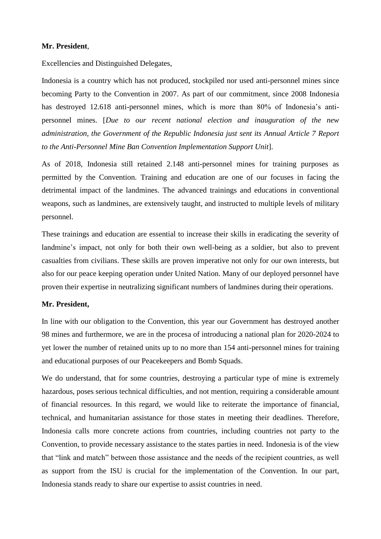## **Mr. President**,

Excellencies and Distinguished Delegates,

Indonesia is a country which has not produced, stockpiled nor used anti-personnel mines since becoming Party to the Convention in 2007. As part of our commitment, since 2008 Indonesia has destroyed 12.618 anti-personnel mines, which is more than 80% of Indonesia's antipersonnel mines. [*Due to our recent national election and inauguration of the new administration, the Government of the Republic Indonesia just sent its Annual Article 7 Report to the Anti-Personnel Mine Ban Convention Implementation Support Unit*].

As of 2018, Indonesia still retained 2.148 anti-personnel mines for training purposes as permitted by the Convention. Training and education are one of our focuses in facing the detrimental impact of the landmines. The advanced trainings and educations in conventional weapons, such as landmines, are extensively taught, and instructed to multiple levels of military personnel.

These trainings and education are essential to increase their skills in eradicating the severity of landmine's impact, not only for both their own well-being as a soldier, but also to prevent casualties from civilians. These skills are proven imperative not only for our own interests, but also for our peace keeping operation under United Nation. Many of our deployed personnel have proven their expertise in neutralizing significant numbers of landmines during their operations.

## **Mr. President,**

In line with our obligation to the Convention, this year our Government has destroyed another 98 mines and furthermore, we are in the procesa of introducing a national plan for 2020-2024 to yet lower the number of retained units up to no more than 154 anti-personnel mines for training and educational purposes of our Peacekeepers and Bomb Squads.

We do understand, that for some countries, destroying a particular type of mine is extremely hazardous, poses serious technical difficulties, and not mention, requiring a considerable amount of financial resources. In this regard, we would like to reiterate the importance of financial, technical, and humanitarian assistance for those states in meeting their deadlines. Therefore, Indonesia calls more concrete actions from countries, including countries not party to the Convention, to provide necessary assistance to the states parties in need. Indonesia is of the view that "link and match" between those assistance and the needs of the recipient countries, as well as support from the ISU is crucial for the implementation of the Convention. In our part, Indonesia stands ready to share our expertise to assist countries in need.